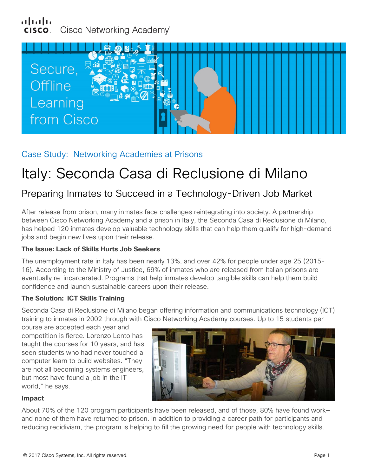### սիսիշ Cisco Networking Academy®



## Case Study: Networking Academies at Prisons

# Italy: Seconda Casa di Reclusione di Milano

# Preparing Inmates to Succeed in a Technology-Driven Job Market

After release from prison, many inmates face challenges reintegrating into society. A partnership between Cisco Networking Academy and a prison in Italy, the Seconda Casa di Reclusione di Milano, has helped 120 inmates develop valuable technology skills that can help them qualify for high-demand jobs and begin new lives upon their release.

#### **The Issue: Lack of Skills Hurts Job Seekers**

The unemployment rate in Italy has been nearly 13%, and over 42% for people under age 25 (2015- 16). According to the Ministry of Justice, 69% of inmates who are released from Italian prisons are eventually re-incarcerated. Programs that help inmates develop tangible skills can help them build confidence and launch sustainable careers upon their release.

#### **The Solution: ICT Skills Training**

Seconda Casa di Reclusione di Milano began offering information and communications technology (ICT) training to inmates in 2002 through with Cisco Networking Academy courses. Up to 15 students per

course are accepted each year and competition is fierce. Lorenzo Lento has taught the courses for 10 years, and has seen students who had never touched a computer learn to build websites. "They are not all becoming systems engineers, but most have found a job in the IT world," he says.



#### **Impact**

About 70% of the 120 program participants have been released, and of those, 80% have found work and none of them have returned to prison. In addition to providing a career path for participants and reducing recidivism, the program is helping to fill the growing need for people with technology skills.